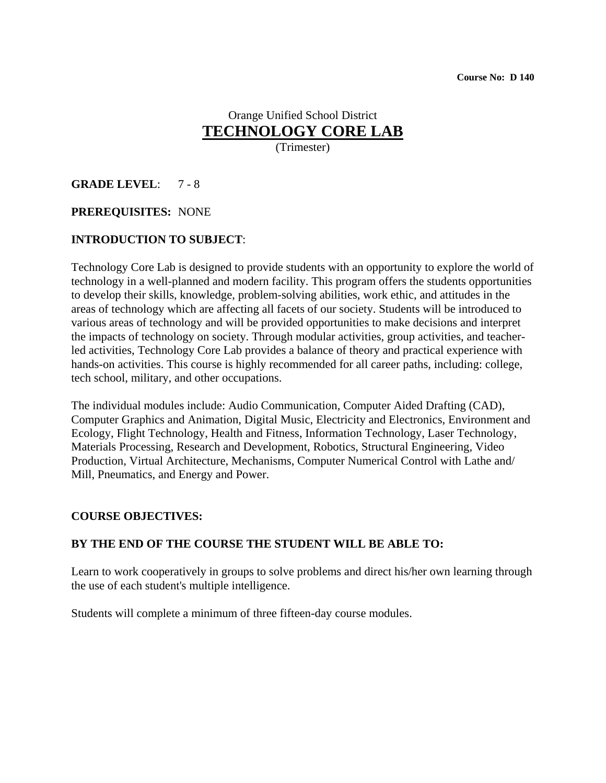## Orange Unified School District **TECHNOLOGY CORE LAB**

(Trimester)

#### **GRADE LEVEL**: 7 - 8

#### **PREREQUISITES:** NONE

#### **INTRODUCTION TO SUBJECT**:

Technology Core Lab is designed to provide students with an opportunity to explore the world of technology in a well-planned and modern facility. This program offers the students opportunities to develop their skills, knowledge, problem-solving abilities, work ethic, and attitudes in the areas of technology which are affecting all facets of our society. Students will be introduced to various areas of technology and will be provided opportunities to make decisions and interpret the impacts of technology on society. Through modular activities, group activities, and teacherled activities, Technology Core Lab provides a balance of theory and practical experience with hands-on activities. This course is highly recommended for all career paths, including: college, tech school, military, and other occupations.

The individual modules include: Audio Communication, Computer Aided Drafting (CAD), Computer Graphics and Animation, Digital Music, Electricity and Electronics, Environment and Ecology, Flight Technology, Health and Fitness, Information Technology, Laser Technology, Materials Processing, Research and Development, Robotics, Structural Engineering, Video Production, Virtual Architecture, Mechanisms, Computer Numerical Control with Lathe and/ Mill, Pneumatics, and Energy and Power.

#### **COURSE OBJECTIVES:**

#### **BY THE END OF THE COURSE THE STUDENT WILL BE ABLE TO:**

Learn to work cooperatively in groups to solve problems and direct his/her own learning through the use of each student's multiple intelligence.

Students will complete a minimum of three fifteen-day course modules.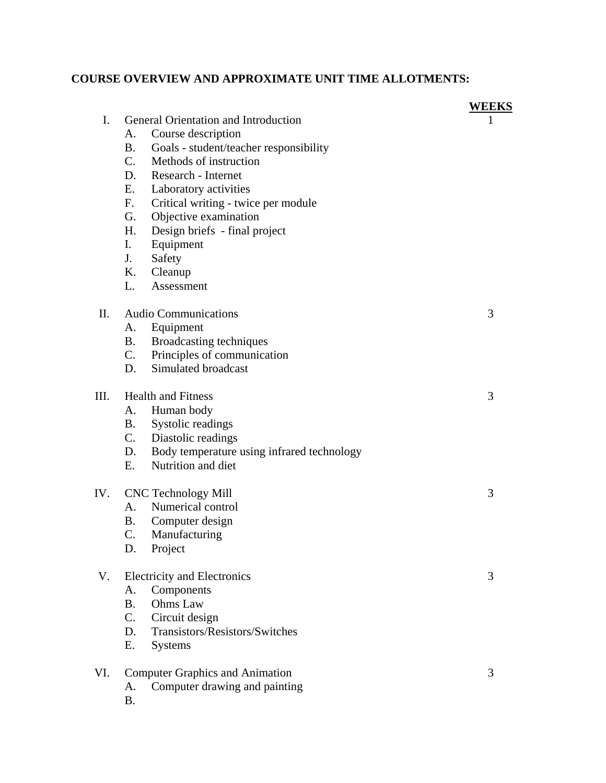### **COURSE OVERVIEW AND APPROXIMATE UNIT TIME ALLOTMENTS:**

|             |                                      |                                            | WEEKS |
|-------------|--------------------------------------|--------------------------------------------|-------|
| $I_{\cdot}$ | General Orientation and Introduction |                                            |       |
|             | А.                                   | Course description                         |       |
|             | <b>B.</b>                            | Goals - student/teacher responsibility     |       |
|             | $C_{\cdot}$                          | Methods of instruction                     |       |
|             |                                      | D. Research - Internet                     |       |
|             | E.                                   | Laboratory activities                      |       |
|             | $F_{\cdot}$                          | Critical writing - twice per module        |       |
|             | G.                                   | Objective examination                      |       |
|             | H.                                   | Design briefs - final project              |       |
|             | I.                                   | Equipment                                  |       |
|             | J.                                   | Safety                                     |       |
|             | Κ.                                   | Cleanup                                    |       |
|             | L.                                   | Assessment                                 |       |
| II.         |                                      | <b>Audio Communications</b>                | 3     |
|             | А.                                   | Equipment                                  |       |
|             | B.                                   | Broadcasting techniques                    |       |
|             |                                      | C. Principles of communication             |       |
|             | D.                                   | Simulated broadcast                        |       |
| III.        |                                      | <b>Health and Fitness</b>                  | 3     |
|             | A.                                   | Human body                                 |       |
|             | <b>B.</b>                            | Systolic readings                          |       |
|             |                                      | C. Diastolic readings                      |       |
|             | D.                                   | Body temperature using infrared technology |       |
|             | E.                                   | Nutrition and diet                         |       |
|             |                                      |                                            |       |
| IV.         |                                      | <b>CNC Technology Mill</b>                 | 3     |
|             | A.                                   | Numerical control                          |       |
|             | Β.                                   | Computer design                            |       |
|             | $\mathcal{C}$ .                      | Manufacturing                              |       |
|             | D.                                   | Project                                    |       |
| V.          | <b>Electricity and Electronics</b>   | 3                                          |       |
|             | A.                                   | Components                                 |       |
|             | <b>B.</b>                            | Ohms Law                                   |       |
|             | $C_{\cdot}$                          | Circuit design                             |       |
|             | D.                                   | Transistors/Resistors/Switches             |       |
|             | Ε.                                   | <b>Systems</b>                             |       |
| VI.         |                                      | <b>Computer Graphics and Animation</b>     | 3     |
|             | A.                                   | Computer drawing and painting              |       |
|             | <b>B.</b>                            |                                            |       |
|             |                                      |                                            |       |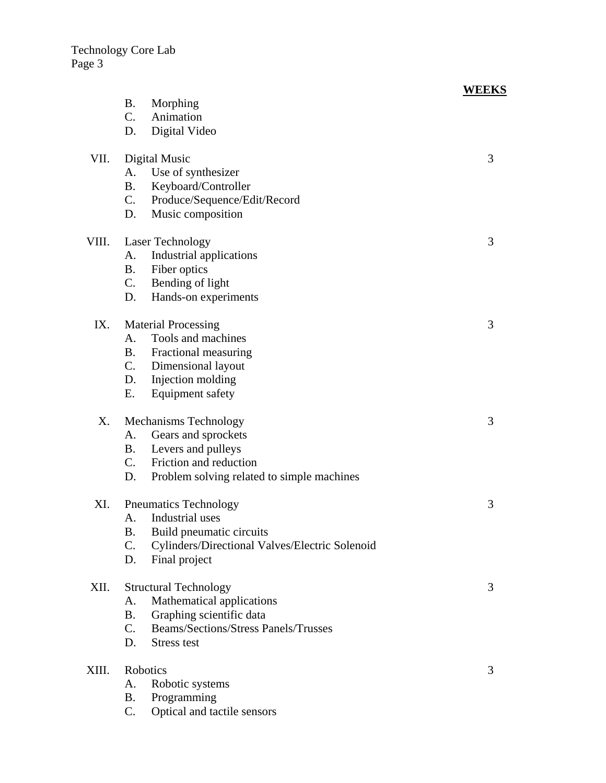|       |                                                                | WEEKS |
|-------|----------------------------------------------------------------|-------|
|       | <b>B.</b><br>Morphing                                          |       |
|       | C.<br>Animation                                                |       |
|       | Digital Video<br>D.                                            |       |
|       |                                                                |       |
| VII.  | Digital Music                                                  | 3     |
|       | Use of synthesizer<br>A.                                       |       |
|       | <b>B.</b><br>Keyboard/Controller                               |       |
|       | $\mathcal{C}$ .<br>Produce/Sequence/Edit/Record                |       |
|       | D.<br>Music composition                                        |       |
| VIII. | <b>Laser Technology</b>                                        | 3     |
|       | Industrial applications<br>A.                                  |       |
|       | <b>B.</b><br>Fiber optics                                      |       |
|       | C.<br>Bending of light                                         |       |
|       | D.                                                             |       |
|       | Hands-on experiments                                           |       |
| IX.   | <b>Material Processing</b>                                     | 3     |
|       | Tools and machines<br>А.                                       |       |
|       | B. Fractional measuring                                        |       |
|       | $C_{\cdot}$<br>Dimensional layout                              |       |
|       | D. Injection molding                                           |       |
|       | <b>Equipment safety</b><br>Ε.                                  |       |
|       |                                                                |       |
| Х.    | Mechanisms Technology                                          | 3     |
|       | A. Gears and sprockets                                         |       |
|       | <b>B.</b><br>Levers and pulleys                                |       |
|       | $C_{\cdot}$<br>Friction and reduction                          |       |
|       | D.<br>Problem solving related to simple machines               |       |
| XI.   | <b>Pneumatics Technology</b>                                   | 3     |
|       | Industrial uses                                                |       |
|       | А.<br><b>B.</b>                                                |       |
|       | Build pneumatic circuits                                       |       |
|       | C.<br>Cylinders/Directional Valves/Electric Solenoid           |       |
|       | D.<br>Final project                                            |       |
| XII.  | <b>Structural Technology</b>                                   | 3     |
|       | Mathematical applications<br>А.                                |       |
|       | Graphing scientific data<br>Β.                                 |       |
|       | <b>Beams/Sections/Stress Panels/Trusses</b><br>$\mathcal{C}$ . |       |
|       | D.<br>Stress test                                              |       |
|       |                                                                |       |
| XIII. | Robotics                                                       | 3     |
|       | Robotic systems<br>А.                                          |       |
|       | Programming<br><b>B.</b>                                       |       |
|       | C.<br>Optical and tactile sensors                              |       |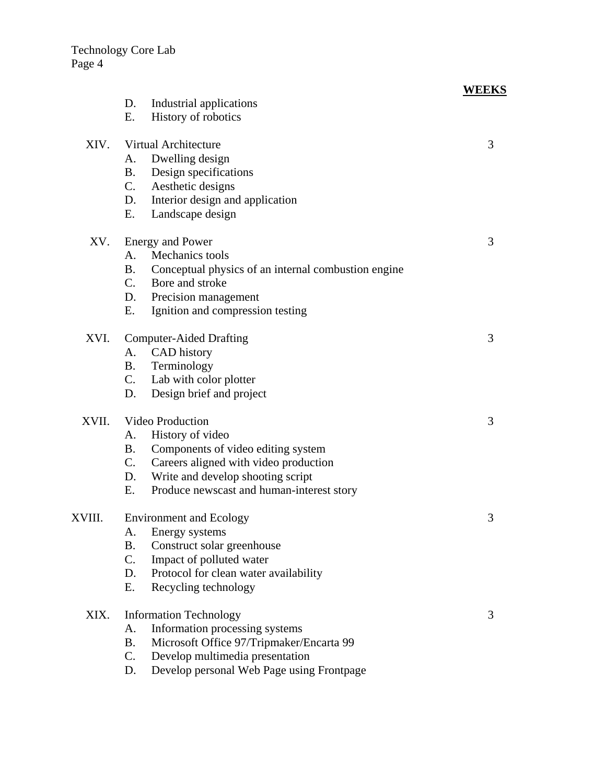# **WEEKS**

|        | D.                             | Industrial applications                             |   |
|--------|--------------------------------|-----------------------------------------------------|---|
|        | Ε.                             | History of robotics                                 |   |
| XIV.   | Virtual Architecture           |                                                     |   |
|        | А.                             | Dwelling design                                     | 3 |
|        | <b>B.</b>                      | Design specifications                               |   |
|        |                                | C. Aesthetic designs                                |   |
|        | D.                             | Interior design and application                     |   |
|        | Е.                             | Landscape design                                    |   |
| XV.    |                                | 3                                                   |   |
|        | A.                             | <b>Energy and Power</b><br>Mechanics tools          |   |
|        | <b>B.</b>                      | Conceptual physics of an internal combustion engine |   |
|        | C.                             | Bore and stroke                                     |   |
|        | D.                             | Precision management                                |   |
|        | Е.                             | Ignition and compression testing                    |   |
| XVI.   | <b>Computer-Aided Drafting</b> | 3                                                   |   |
|        | A.                             | CAD history                                         |   |
|        | <b>B.</b>                      | Terminology                                         |   |
|        |                                | C. Lab with color plotter                           |   |
|        | D.                             | Design brief and project                            |   |
| XVII.  | <b>Video Production</b>        |                                                     | 3 |
|        | A.                             | History of video                                    |   |
|        | <b>B</b> .                     | Components of video editing system                  |   |
|        | C.                             | Careers aligned with video production               |   |
|        | D.                             | Write and develop shooting script                   |   |
|        | Е.                             | Produce newscast and human-interest story           |   |
| XVIII. | <b>Environment and Ecology</b> |                                                     | 3 |
|        | Α.                             | Energy systems                                      |   |
|        | <b>B.</b>                      | Construct solar greenhouse                          |   |
|        | C.                             | Impact of polluted water                            |   |
|        | D.                             | Protocol for clean water availability               |   |
|        | Ε.                             | Recycling technology                                |   |
| XIX.   | <b>Information Technology</b>  |                                                     |   |
|        | A.                             | Information processing systems                      |   |
|        | <b>B.</b>                      | Microsoft Office 97/Tripmaker/Encarta 99            |   |
|        | C.                             | Develop multimedia presentation                     |   |
|        | D.                             | Develop personal Web Page using Frontpage           |   |